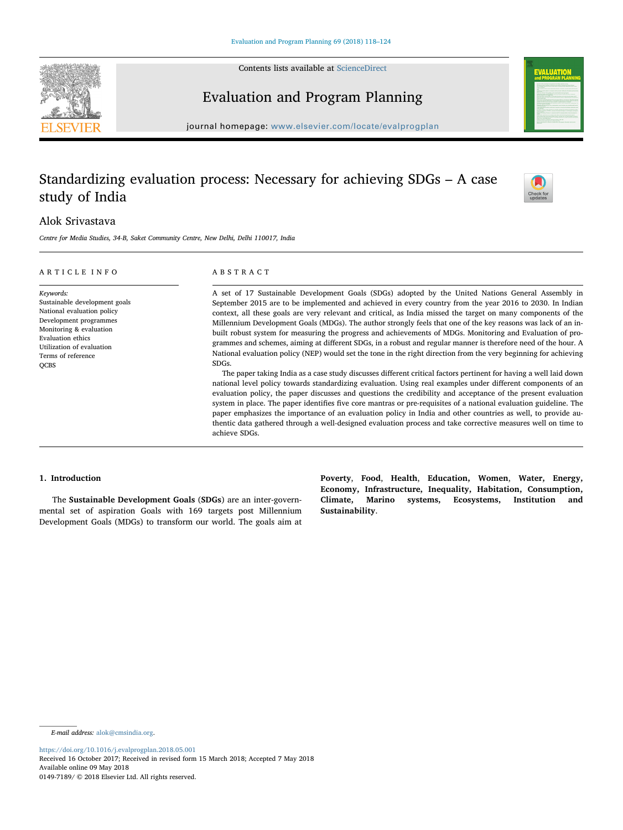Contents lists available at [ScienceDirect](http://www.sciencedirect.com/science/journal/01497189)





# Evaluation and Program Planning

journal homepage: [www.elsevier.com/locate/evalprogplan](https://www.elsevier.com/locate/evalprogplan)

# Standardizing evaluation process: Necessary for achieving SDGs – A case study of India



## Alok Srivastava

Centre for Media Studies, 34-B, Saket Community Centre, New Delhi, Delhi 110017, India

| Keywords:<br>Sustainable development goals<br>National evaluation policy<br>Development programmes<br>Monitoring & evaluation<br><b>Evaluation</b> ethics<br>Utilization of evaluation<br>Terms of reference<br><b>OCBS</b> | A set of 17 Sustainable Development Goals (SDGs) adopted by the United Nations General Assembly in<br>September 2015 are to be implemented and achieved in every country from the year 2016 to 2030. In Indian<br>context, all these goals are very relevant and critical, as India missed the target on many components of the<br>Millennium Development Goals (MDGs). The author strongly feels that one of the key reasons was lack of an in-<br>built robust system for measuring the progress and achievements of MDGs. Monitoring and Evaluation of pro-<br>grammes and schemes, aiming at different SDGs, in a robust and regular manner is therefore need of the hour. A<br>National evaluation policy (NEP) would set the tone in the right direction from the very beginning for achieving<br>SDG <sub>s</sub> .<br>The paper taking India as a case study discusses different critical factors pertinent for having a well laid down<br>national level policy towards standardizing evaluation. Using real examples under different components of an<br>evaluation policy, the paper discusses and questions the credibility and acceptance of the present evaluation<br>system in place. The paper identifies five core mantras or pre-requisites of a national evaluation guideline. The<br>paper emphasizes the importance of an evaluation policy in India and other countries as well, to provide au-<br>thentic data gathered through a well-designed evaluation process and take corrective measures well on time to<br>achieve SDGs. |
|-----------------------------------------------------------------------------------------------------------------------------------------------------------------------------------------------------------------------------|---------------------------------------------------------------------------------------------------------------------------------------------------------------------------------------------------------------------------------------------------------------------------------------------------------------------------------------------------------------------------------------------------------------------------------------------------------------------------------------------------------------------------------------------------------------------------------------------------------------------------------------------------------------------------------------------------------------------------------------------------------------------------------------------------------------------------------------------------------------------------------------------------------------------------------------------------------------------------------------------------------------------------------------------------------------------------------------------------------------------------------------------------------------------------------------------------------------------------------------------------------------------------------------------------------------------------------------------------------------------------------------------------------------------------------------------------------------------------------------------------------------------------------------------------------|

## 1. Introduction

The Sustainable Development Goals (SDGs) are an inter-governmental set of aspiration Goals with 169 targets post Millennium Development Goals (MDGs) to transform our world. The goals aim at Poverty, Food, Health, Education, Women, Water, Energy, Economy, Infrastructure, Inequality, Habitation, Consumption, Climate, Marino systems, Ecosystems, Institution and Sustainability.

<https://doi.org/10.1016/j.evalprogplan.2018.05.001> Received 16 October 2017; Received in revised form 15 March 2018; Accepted 7 May 2018 Available online 09 May 2018 0149-7189/ © 2018 Elsevier Ltd. All rights reserved.

E-mail address: [alok@cmsindia.org](mailto:alok@cmsindia.org).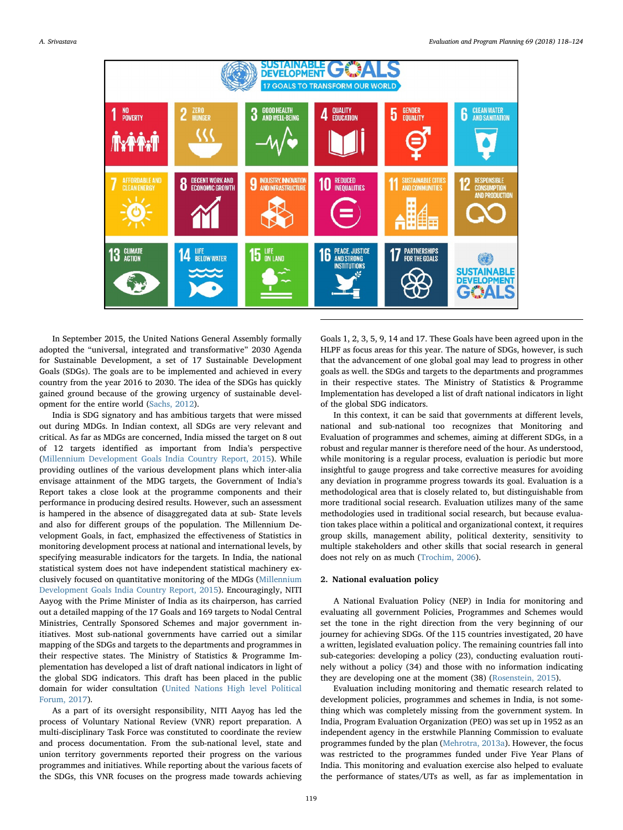

In September 2015, the United Nations General Assembly formally adopted the "universal, integrated and transformative" 2030 Agenda for Sustainable Development, a set of 17 Sustainable Development Goals (SDGs). The goals are to be implemented and achieved in every country from the year 2016 to 2030. The idea of the SDGs has quickly gained ground because of the growing urgency of sustainable development for the entire world ([Sachs, 2012](#page-6-0)).

India is SDG signatory and has ambitious targets that were missed out during MDGs. In Indian context, all SDGs are very relevant and critical. As far as MDGs are concerned, India missed the target on 8 out of 12 targets identified as important from India's perspective ([Millennium Development Goals India Country Report, 2015](#page-6-1)). While providing outlines of the various development plans which inter-alia envisage attainment of the MDG targets, the Government of India's Report takes a close look at the programme components and their performance in producing desired results. However, such an assessment is hampered in the absence of disaggregated data at sub- State levels and also for different groups of the population. The Millennium Development Goals, in fact, emphasized the effectiveness of Statistics in monitoring development process at national and international levels, by specifying measurable indicators for the targets. In India, the national statistical system does not have independent statistical machinery exclusively focused on quantitative monitoring of the MDGs ([Millennium](#page-6-1) [Development Goals India Country Report, 2015\)](#page-6-1). Encouragingly, NITI Aayog with the Prime Minister of India as its chairperson, has carried out a detailed mapping of the 17 Goals and 169 targets to Nodal Central Ministries, Centrally Sponsored Schemes and major government initiatives. Most sub-national governments have carried out a similar mapping of the SDGs and targets to the departments and programmes in their respective states. The Ministry of Statistics & Programme Implementation has developed a list of draft national indicators in light of the global SDG indicators. This draft has been placed in the public domain for wider consultation ([United Nations High level Political](#page-6-2) [Forum, 2017\)](#page-6-2).

As a part of its oversight responsibility, NITI Aayog has led the process of Voluntary National Review (VNR) report preparation. A multi-disciplinary Task Force was constituted to coordinate the review and process documentation. From the sub-national level, state and union territory governments reported their progress on the various programmes and initiatives. While reporting about the various facets of the SDGs, this VNR focuses on the progress made towards achieving Goals 1, 2, 3, 5, 9, 14 and 17. These Goals have been agreed upon in the HLPF as focus areas for this year. The nature of SDGs, however, is such that the advancement of one global goal may lead to progress in other goals as well. the SDGs and targets to the departments and programmes in their respective states. The Ministry of Statistics & Programme Implementation has developed a list of draft national indicators in light of the global SDG indicators.

In this context, it can be said that governments at different levels, national and sub-national too recognizes that Monitoring and Evaluation of programmes and schemes, aiming at different SDGs, in a robust and regular manner is therefore need of the hour. As understood, while monitoring is a regular process, evaluation is periodic but more insightful to gauge progress and take corrective measures for avoiding any deviation in programme progress towards its goal. Evaluation is a methodological area that is closely related to, but distinguishable from more traditional social research. Evaluation utilizes many of the same methodologies used in traditional social research, but because evaluation takes place within a political and organizational context, it requires group skills, management ability, political dexterity, sensitivity to multiple stakeholders and other skills that social research in general does not rely on as much [\(Trochim, 2006\)](#page-6-3).

#### 2. National evaluation policy

A National Evaluation Policy (NEP) in India for monitoring and evaluating all government Policies, Programmes and Schemes would set the tone in the right direction from the very beginning of our journey for achieving SDGs. Of the 115 countries investigated, 20 have a written, legislated evaluation policy. The remaining countries fall into sub-categories: developing a policy (23), conducting evaluation routinely without a policy (34) and those with no information indicating they are developing one at the moment (38) ([Rosenstein, 2015](#page-6-4)).

Evaluation including monitoring and thematic research related to development policies, programmes and schemes in India, is not something which was completely missing from the government system. In India, Program Evaluation Organization (PEO) was set up in 1952 as an independent agency in the erstwhile Planning Commission to evaluate programmes funded by the plan ([Mehrotra, 2013a\)](#page-6-5). However, the focus was restricted to the programmes funded under Five Year Plans of India. This monitoring and evaluation exercise also helped to evaluate the performance of states/UTs as well, as far as implementation in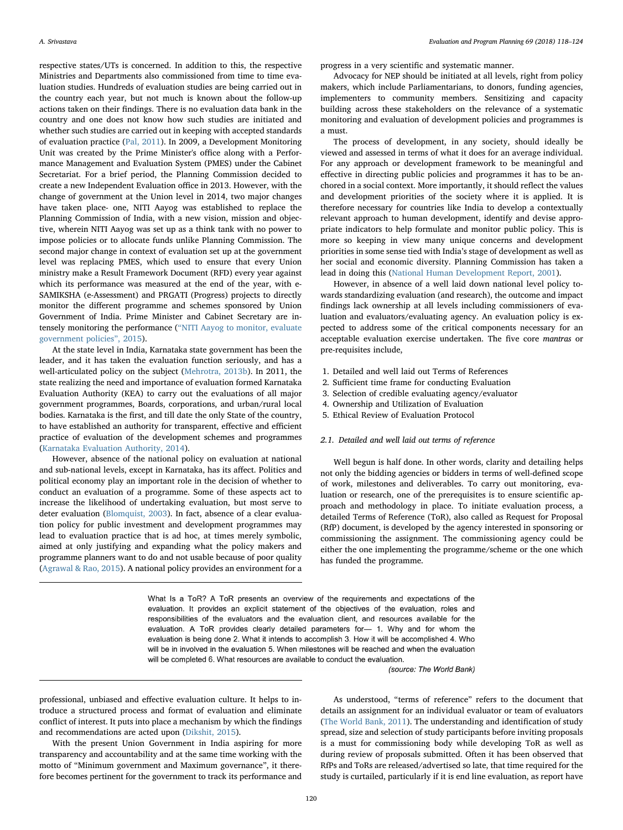respective states/UTs is concerned. In addition to this, the respective Ministries and Departments also commissioned from time to time evaluation studies. Hundreds of evaluation studies are being carried out in the country each year, but not much is known about the follow-up actions taken on their findings. There is no evaluation data bank in the country and one does not know how such studies are initiated and whether such studies are carried out in keeping with accepted standards of evaluation practice [\(Pal, 2011\)](#page-6-6). In 2009, a Development Monitoring Unit was created by the Prime Minister's office along with a Performance Management and Evaluation System (PMES) under the Cabinet Secretariat. For a brief period, the Planning Commission decided to create a new Independent Evaluation office in 2013. However, with the change of government at the Union level in 2014, two major changes have taken place- one, NITI Aayog was established to replace the Planning Commission of India, with a new vision, mission and objective, wherein NITI Aayog was set up as a think tank with no power to impose policies or to allocate funds unlike Planning Commission. The second major change in context of evaluation set up at the government level was replacing PMES, which used to ensure that every Union ministry make a Result Framework Document (RFD) every year against which its performance was measured at the end of the year, with e-SAMIKSHA (e-Assessment) and PRGATI (Progress) projects to directly monitor the different programme and schemes sponsored by Union Government of India. Prime Minister and Cabinet Secretary are intensely monitoring the performance ("[NITI Aayog to monitor, evaluate](#page-6-7) [government policies](#page-6-7)", 2015).

At the state level in India, Karnataka state government has been the leader, and it has taken the evaluation function seriously, and has a well-articulated policy on the subject [\(Mehrotra, 2013b\)](#page-6-8). In 2011, the state realizing the need and importance of evaluation formed Karnataka Evaluation Authority (KEA) to carry out the evaluations of all major government programmes, Boards, corporations, and urban/rural local bodies. Karnataka is the first, and till date the only State of the country, to have established an authority for transparent, effective and efficient practice of evaluation of the development schemes and programmes ([Karnataka Evaluation Authority, 2014](#page-6-9)).

However, absence of the national policy on evaluation at national and sub-national levels, except in Karnataka, has its affect. Politics and political economy play an important role in the decision of whether to conduct an evaluation of a programme. Some of these aspects act to increase the likelihood of undertaking evaluation, but most serve to deter evaluation [\(Blomquist, 2003\)](#page-6-10). In fact, absence of a clear evaluation policy for public investment and development programmes may lead to evaluation practice that is ad hoc, at times merely symbolic, aimed at only justifying and expanding what the policy makers and programme planners want to do and not usable because of poor quality ([Agrawal & Rao, 2015\)](#page-6-11). A national policy provides an environment for a progress in a very scientific and systematic manner.

Advocacy for NEP should be initiated at all levels, right from policy makers, which include Parliamentarians, to donors, funding agencies, implementers to community members. Sensitizing and capacity building across these stakeholders on the relevance of a systematic monitoring and evaluation of development policies and programmes is a must.

The process of development, in any society, should ideally be viewed and assessed in terms of what it does for an average individual. For any approach or development framework to be meaningful and effective in directing public policies and programmes it has to be anchored in a social context. More importantly, it should reflect the values and development priorities of the society where it is applied. It is therefore necessary for countries like India to develop a contextually relevant approach to human development, identify and devise appropriate indicators to help formulate and monitor public policy. This is more so keeping in view many unique concerns and development priorities in some sense tied with India's stage of development as well as her social and economic diversity. Planning Commission has taken a lead in doing this ([National Human Development Report, 2001\)](#page-6-13).

However, in absence of a well laid down national level policy towards standardizing evaluation (and research), the outcome and impact findings lack ownership at all levels including commissioners of evaluation and evaluators/evaluating agency. An evaluation policy is expected to address some of the critical components necessary for an acceptable evaluation exercise undertaken. The five core mantras or pre-requisites include,

- 1. Detailed and well laid out Terms of References
- 2. Sufficient time frame for conducting Evaluation
- 3. Selection of credible evaluating agency/evaluator
- 4. Ownership and Utilization of Evaluation
- 5. Ethical Review of Evaluation Protocol

## 2.1. Detailed and well laid out terms of reference

Well begun is half done. In other words, clarity and detailing helps not only the bidding agencies or bidders in terms of well-defined scope of work, milestones and deliverables. To carry out monitoring, evaluation or research, one of the prerequisites is to ensure scientific approach and methodology in place. To initiate evaluation process, a detailed Terms of Reference (ToR), also called as Request for Proposal (RfP) document, is developed by the agency interested in sponsoring or commissioning the assignment. The commissioning agency could be either the one implementing the programme/scheme or the one which has funded the programme.

What Is a ToR? A ToR presents an overview of the requirements and expectations of the evaluation. It provides an explicit statement of the objectives of the evaluation, roles and responsibilities of the evaluators and the evaluation client, and resources available for the evaluation. A ToR provides clearly detailed parameters for- 1. Why and for whom the evaluation is being done 2. What it intends to accomplish 3. How it will be accomplished 4. Who will be in involved in the evaluation 5. When milestones will be reached and when the evaluation will be completed 6. What resources are available to conduct the evaluation.

## (source: The World Bank)

professional, unbiased and effective evaluation culture. It helps to introduce a structured process and format of evaluation and eliminate conflict of interest. It puts into place a mechanism by which the findings and recommendations are acted upon ([Dikshit, 2015](#page-6-12)).

With the present Union Government in India aspiring for more transparency and accountability and at the same time working with the motto of "Minimum government and Maximum governance", it therefore becomes pertinent for the government to track its performance and

As understood, "terms of reference" refers to the document that details an assignment for an individual evaluator or team of evaluators ([The World Bank, 2011](#page-6-14)). The understanding and identification of study spread, size and selection of study participants before inviting proposals is a must for commissioning body while developing ToR as well as during review of proposals submitted. Often it has been observed that RfPs and ToRs are released/advertised so late, that time required for the study is curtailed, particularly if it is end line evaluation, as report have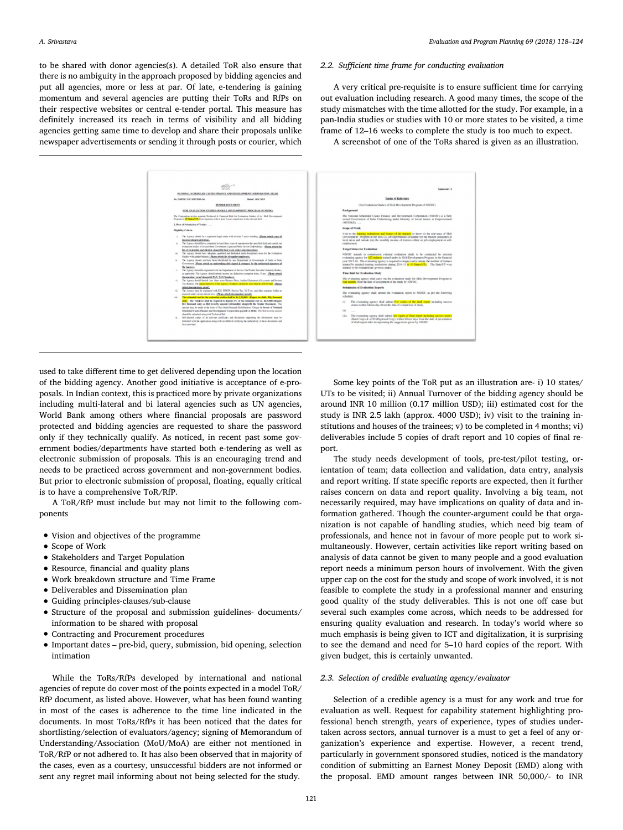to be shared with donor agencies(s). A detailed ToR also ensure that there is no ambiguity in the approach proposed by bidding agencies and put all agencies, more or less at par. Of late, e-tendering is gaining momentum and several agencies are putting their ToRs and RfPs on their respective websites or central e-tender portal. This measure has definitely increased its reach in terms of visibility and all bidding agencies getting same time to develop and share their proposals unlike newspaper advertisements or sending it through posts or courier, which

#### 2.2. Sufficient time frame for conducting evaluation

A very critical pre-requisite is to ensure sufficient time for carrying out evaluation including research. A good many times, the scope of the study mismatches with the time allotted for the study. For example, in a pan-India studies or studies with 10 or more states to be visited, a time frame of 12–16 weeks to complete the study is too much to expect.

A screenshot of one of the ToRs shared is given as an illustration.



used to take different time to get delivered depending upon the location of the bidding agency. Another good initiative is acceptance of e-proposals. In Indian context, this is practiced more by private organizations including multi-lateral and bi lateral agencies such as UN agencies, World Bank among others where financial proposals are password protected and bidding agencies are requested to share the password only if they technically qualify. As noticed, in recent past some government bodies/departments have started both e-tendering as well as electronic submission of proposals. This is an encouraging trend and needs to be practiced across government and non-government bodies. But prior to electronic submission of proposal, floating, equally critical is to have a comprehensive ToR/RfP.

A ToR/RfP must include but may not limit to the following components

- Vision and objectives of the programme
- Scope of Work
- Stakeholders and Target Population
- Resource, financial and quality plans
- Work breakdown structure and Time Frame
- Deliverables and Dissemination plan
- Guiding principles-clauses/sub-clause
- Structure of the proposal and submission guidelines- documents/ information to be shared with proposal
- Contracting and Procurement procedures
- Important dates pre-bid, query, submission, bid opening, selection intimation

While the ToRs/RfPs developed by international and national agencies of repute do cover most of the points expected in a model ToR/ RfP document, as listed above. However, what has been found wanting in most of the cases is adherence to the time line indicated in the documents. In most ToRs/RfPs it has been noticed that the dates for shortlisting/selection of evaluators/agency; signing of Memorandum of Understanding/Association (MoU/MoA) are either not mentioned in ToR/RfP or not adhered to. It has also been observed that in majority of the cases, even as a courtesy, unsuccessful bidders are not informed or sent any regret mail informing about not being selected for the study.

Some key points of the ToR put as an illustration are- i) 10 states/ UTs to be visited; ii) Annual Turnover of the bidding agency should be around INR 10 million (0.17 million USD); iii) estimated cost for the study is INR 2.5 lakh (approx. 4000 USD); iv) visit to the training institutions and houses of the trainees; v) to be completed in 4 months; vi) deliverables include 5 copies of draft report and 10 copies of final report.

The study needs development of tools, pre-test/pilot testing, orientation of team; data collection and validation, data entry, analysis and report writing. If state specific reports are expected, then it further raises concern on data and report quality. Involving a big team, not necessarily required, may have implications on quality of data and information gathered. Though the counter-argument could be that organization is not capable of handling studies, which need big team of professionals, and hence not in favour of more people put to work simultaneously. However, certain activities like report writing based on analysis of data cannot be given to many people and a good evaluation report needs a minimum person hours of involvement. With the given upper cap on the cost for the study and scope of work involved, it is not feasible to complete the study in a professional manner and ensuring good quality of the study deliverables. This is not one off case but several such examples come across, which needs to be addressed for ensuring quality evaluation and research. In today's world where so much emphasis is being given to ICT and digitalization, it is surprising to see the demand and need for 5–10 hard copies of the report. With given budget, this is certainly unwanted.

### 2.3. Selection of credible evaluating agency/evaluator

Selection of a credible agency is a must for any work and true for evaluation as well. Request for capability statement highlighting professional bench strength, years of experience, types of studies undertaken across sectors, annual turnover is a must to get a feel of any organization's experience and expertise. However, a recent trend, particularly in government sponsored studies, noticed is the mandatory condition of submitting an Earnest Money Deposit (EMD) along with the proposal. EMD amount ranges between INR 50,000/- to INR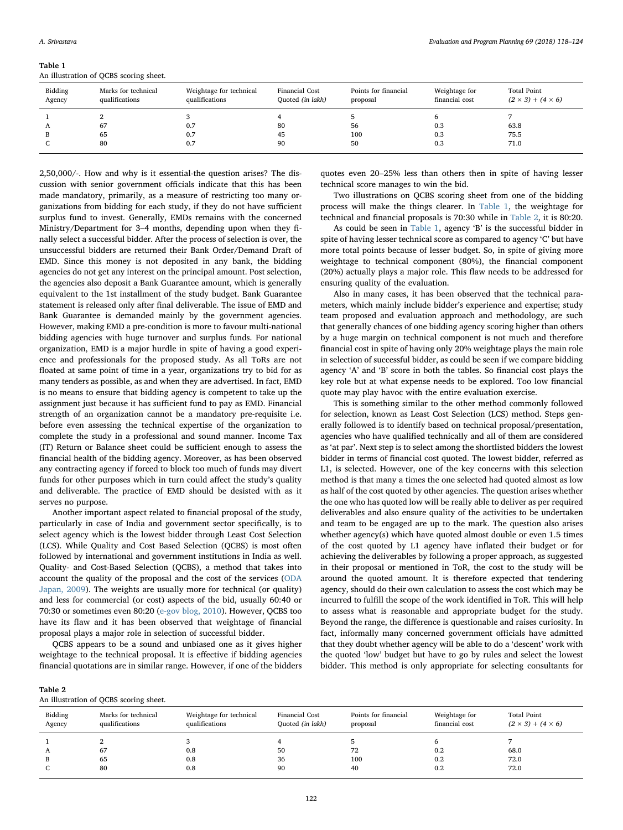<span id="page-4-0"></span>

| Bidding<br>Agency | Marks for technical<br>qualifications | Weightage for technical<br>qualifications | Financial Cost<br>Quoted (in lakh) | Points for financial<br>proposal | Weightage for<br>financial cost | <b>Total Point</b><br>$(2 \times 3) + (4 \times 6)$ |
|-------------------|---------------------------------------|-------------------------------------------|------------------------------------|----------------------------------|---------------------------------|-----------------------------------------------------|
|                   |                                       |                                           |                                    |                                  |                                 |                                                     |
| A                 | 67                                    | 0.7                                       | 80                                 | 56                               | 0.3                             | 63.8                                                |
| B                 | 65                                    | 0.7                                       | 45                                 | 100                              | 0.3                             | 75.5                                                |
|                   | 80                                    | 0.7                                       | 90                                 | 50                               | 0.3                             | 71.0                                                |
|                   |                                       |                                           |                                    |                                  |                                 |                                                     |

2,50,000/-. How and why is it essential-the question arises? The discussion with senior government officials indicate that this has been made mandatory, primarily, as a measure of restricting too many organizations from bidding for each study, if they do not have sufficient surplus fund to invest. Generally, EMDs remains with the concerned Ministry/Department for 3–4 months, depending upon when they finally select a successful bidder. After the process of selection is over, the unsuccessful bidders are returned their Bank Order/Demand Draft of EMD. Since this money is not deposited in any bank, the bidding agencies do not get any interest on the principal amount. Post selection, the agencies also deposit a Bank Guarantee amount, which is generally equivalent to the 1st installment of the study budget. Bank Guarantee statement is released only after final deliverable. The issue of EMD and Bank Guarantee is demanded mainly by the government agencies. However, making EMD a pre-condition is more to favour multi-national bidding agencies with huge turnover and surplus funds. For national organization, EMD is a major hurdle in spite of having a good experience and professionals for the proposed study. As all ToRs are not floated at same point of time in a year, organizations try to bid for as many tenders as possible, as and when they are advertised. In fact, EMD is no means to ensure that bidding agency is competent to take up the assignment just because it has sufficient fund to pay as EMD. Financial strength of an organization cannot be a mandatory pre-requisite i.e. before even assessing the technical expertise of the organization to complete the study in a professional and sound manner. Income Tax (IT) Return or Balance sheet could be sufficient enough to assess the financial health of the bidding agency. Moreover, as has been observed any contracting agency if forced to block too much of funds may divert funds for other purposes which in turn could affect the study's quality and deliverable. The practice of EMD should be desisted with as it serves no purpose.

Another important aspect related to financial proposal of the study, particularly in case of India and government sector specifically, is to select agency which is the lowest bidder through Least Cost Selection (LCS). While Quality and Cost Based Selection (QCBS) is most often followed by international and government institutions in India as well. Quality- and Cost-Based Selection (QCBS), a method that takes into account the quality of the proposal and the cost of the services ([ODA](#page-6-15) [Japan, 2009\)](#page-6-15). The weights are usually more for technical (or quality) and less for commercial (or cost) aspects of the bid, usually 60:40 or 70:30 or sometimes even 80:20 ([e-gov blog, 2010\)](#page-6-16). However, QCBS too have its flaw and it has been observed that weightage of financial proposal plays a major role in selection of successful bidder.

QCBS appears to be a sound and unbiased one as it gives higher weightage to the technical proposal. It is effective if bidding agencies financial quotations are in similar range. However, if one of the bidders

quotes even 20–25% less than others then in spite of having lesser technical score manages to win the bid.

Two illustrations on QCBS scoring sheet from one of the bidding process will make the things clearer. In [Table 1](#page-4-0), the weightage for technical and financial proposals is 70:30 while in [Table 2,](#page-4-1) it is 80:20.

As could be seen in [Table 1,](#page-4-0) agency 'B' is the successful bidder in spite of having lesser technical score as compared to agency 'C' but have more total points because of lesser budget. So, in spite of giving more weightage to technical component (80%), the financial component (20%) actually plays a major role. This flaw needs to be addressed for ensuring quality of the evaluation.

Also in many cases, it has been observed that the technical parameters, which mainly include bidder's experience and expertise; study team proposed and evaluation approach and methodology, are such that generally chances of one bidding agency scoring higher than others by a huge margin on technical component is not much and therefore financial cost in spite of having only 20% weightage plays the main role in selection of successful bidder, as could be seen if we compare bidding agency 'A' and 'B' score in both the tables. So financial cost plays the key role but at what expense needs to be explored. Too low financial quote may play havoc with the entire evaluation exercise.

This is something similar to the other method commonly followed for selection, known as Least Cost Selection (LCS) method. Steps generally followed is to identify based on technical proposal/presentation, agencies who have qualified technically and all of them are considered as 'at par'. Next step is to select among the shortlisted bidders the lowest bidder in terms of financial cost quoted. The lowest bidder, referred as L1, is selected. However, one of the key concerns with this selection method is that many a times the one selected had quoted almost as low as half of the cost quoted by other agencies. The question arises whether the one who has quoted low will be really able to deliver as per required deliverables and also ensure quality of the activities to be undertaken and team to be engaged are up to the mark. The question also arises whether agency(s) which have quoted almost double or even 1.5 times of the cost quoted by L1 agency have inflated their budget or for achieving the deliverables by following a proper approach, as suggested in their proposal or mentioned in ToR, the cost to the study will be around the quoted amount. It is therefore expected that tendering agency, should do their own calculation to assess the cost which may be incurred to fulfill the scope of the work identified in ToR. This will help to assess what is reasonable and appropriate budget for the study. Beyond the range, the difference is questionable and raises curiosity. In fact, informally many concerned government officials have admitted that they doubt whether agency will be able to do a 'descent' work with the quoted 'low' budget but have to go by rules and select the lowest bidder. This method is only appropriate for selecting consultants for

<span id="page-4-1"></span>

| Table 2                               |  |  |
|---------------------------------------|--|--|
| An illustration of OCBS scoring sheet |  |  |

| Bidding<br>Agency | Marks for technical<br>qualifications | Weightage for technical<br>qualifications | Financial Cost<br>Quoted (in lakh) | Points for financial<br>proposal | Weightage for<br>financial cost | <b>Total Point</b><br>$(2 \times 3) + (4 \times 6)$ |
|-------------------|---------------------------------------|-------------------------------------------|------------------------------------|----------------------------------|---------------------------------|-----------------------------------------------------|
|                   | ▵                                     |                                           |                                    |                                  |                                 |                                                     |
| A                 | 67                                    | 0.8                                       | 50                                 | 72                               | 0.2                             | 68.0                                                |
|                   | 65                                    | 0.8                                       | 36                                 | 100                              | 0.2                             | 72.0                                                |
| U                 | 80                                    | 0.8                                       | 90                                 | 40                               | 0.2                             | 72.0                                                |
|                   |                                       |                                           |                                    |                                  |                                 |                                                     |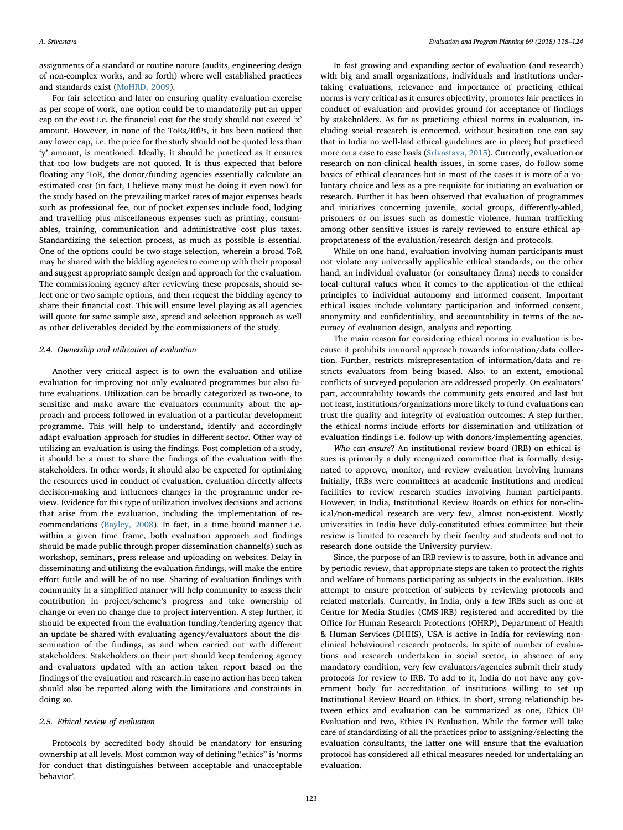assignments of a standard or routine nature (audits, engineering design of non-complex works, and so forth) where well established practices and standards exist ([MoHRD, 2009](#page-6-17)).

For fair selection and later on ensuring quality evaluation exercise as per scope of work, one option could be to mandatorily put an upper cap on the cost i.e. the financial cost for the study should not exceed 'x' amount. However, in none of the ToRs/RfPs, it has been noticed that any lower cap, i.e. the price for the study should not be quoted less than 'y' amount, is mentioned. Ideally, it should be practiced as it ensures that too low budgets are not quoted. It is thus expected that before floating any ToR, the donor/funding agencies essentially calculate an estimated cost (in fact, I believe many must be doing it even now) for the study based on the prevailing market rates of major expenses heads such as professional fee, out of pocket expenses include food, lodging and travelling plus miscellaneous expenses such as printing, consumables, training, communication and administrative cost plus taxes. Standardizing the selection process, as much as possible is essential. One of the options could be two-stage selection, wherein a broad ToR may be shared with the bidding agencies to come up with their proposal and suggest appropriate sample design and approach for the evaluation. The commissioning agency after reviewing these proposals, should select one or two sample options, and then request the bidding agency to share their financial cost. This will ensure level playing as all agencies will quote for same sample size, spread and selection approach as well as other deliverables decided by the commissioners of the study.

#### 2.4. Ownership and utilization of evaluation

Another very critical aspect is to own the evaluation and utilize evaluation for improving not only evaluated programmes but also future evaluations. Utilization can be broadly categorized as two-one, to sensitize and make aware the evaluators community about the approach and process followed in evaluation of a particular development programme. This will help to understand, identify and accordingly adapt evaluation approach for studies in different sector. Other way of utilizing an evaluation is using the findings. Post completion of a study, it should be a must to share the findings of the evaluation with the stakeholders. In other words, it should also be expected for optimizing the resources used in conduct of evaluation. evaluation directly affects decision-making and influences changes in the programme under review. Evidence for this type of utilization involves decisions and actions that arise from the evaluation, including the implementation of recommendations ([Bayley, 2008\)](#page-6-18). In fact, in a time bound manner i.e. within a given time frame, both evaluation approach and findings should be made public through proper dissemination channel(s) such as workshop, seminars, press release and uploading on websites. Delay in disseminating and utilizing the evaluation findings, will make the entire effort futile and will be of no use. Sharing of evaluation findings with community in a simplified manner will help community to assess their contribution in project/scheme's progress and take ownership of change or even no change due to project intervention. A step further, it should be expected from the evaluation funding/tendering agency that an update be shared with evaluating agency/evaluators about the dissemination of the findings, as and when carried out with different stakeholders. Stakeholders on their part should keep tendering agency and evaluators updated with an action taken report based on the findings of the evaluation and research.in case no action has been taken should also be reported along with the limitations and constraints in doing so.

#### 2.5. Ethical review of evaluation

Protocols by accredited body should be mandatory for ensuring ownership at all levels. Most common way of defining "ethics" is 'norms for conduct that distinguishes between acceptable and unacceptable behavior'.

In fast growing and expanding sector of evaluation (and research) with big and small organizations, individuals and institutions undertaking evaluations, relevance and importance of practicing ethical norms is very critical as it ensures objectivity, promotes fair practices in conduct of evaluation and provides ground for acceptance of findings by stakeholders. As far as practicing ethical norms in evaluation, including social research is concerned, without hesitation one can say that in India no well-laid ethical guidelines are in place; but practiced more on a case to case basis [\(Srivastava, 2015](#page-6-19)). Currently, evaluation or research on non-clinical health issues, in some cases, do follow some basics of ethical clearances but in most of the cases it is more of a voluntary choice and less as a pre-requisite for initiating an evaluation or research. Further it has been observed that evaluation of programmes and initiatives concerning juvenile, social groups, differently-abled, prisoners or on issues such as domestic violence, human trafficking among other sensitive issues is rarely reviewed to ensure ethical appropriateness of the evaluation/research design and protocols.

While on one hand, evaluation involving human participants must not violate any universally applicable ethical standards, on the other hand, an individual evaluator (or consultancy firms) needs to consider local cultural values when it comes to the application of the ethical principles to individual autonomy and informed consent. Important ethical issues include voluntary participation and informed consent, anonymity and confidentiality, and accountability in terms of the accuracy of evaluation design, analysis and reporting.

The main reason for considering ethical norms in evaluation is because it prohibits immoral approach towards information/data collection. Further, restricts misrepresentation of information/data and restricts evaluators from being biased. Also, to an extent, emotional conflicts of surveyed population are addressed properly. On evaluators' part, accountability towards the community gets ensured and last but not least, institutions/organizations more likely to fund evaluations can trust the quality and integrity of evaluation outcomes. A step further, the ethical norms include efforts for dissemination and utilization of evaluation findings i.e. follow-up with donors/implementing agencies.

Who can ensure? An institutional review board (IRB) on ethical issues is primarily a duly recognized committee that is formally designated to approve, monitor, and review evaluation involving humans Initially, IRBs were committees at academic institutions and medical facilities to review research studies involving human participants. However, in India, Institutional Review Boards on ethics for non-clinical/non-medical research are very few, almost non-existent. Mostly universities in India have duly-constituted ethics committee but their review is limited to research by their faculty and students and not to research done outside the University purview.

Since, the purpose of an IRB review is to assure, both in advance and by periodic review, that appropriate steps are taken to protect the rights and welfare of humans participating as subjects in the evaluation. IRBs attempt to ensure protection of subjects by reviewing protocols and related materials. Currently, in India, only a few IRBs such as one at Centre for Media Studies (CMS-IRB) registered and accredited by the Office for Human Research Protections (OHRP), Department of Health & Human Services (DHHS), USA is active in India for reviewing nonclinical behavioural research protocols. In spite of number of evaluations and research undertaken in social sector, in absence of any mandatory condition, very few evaluators/agencies submit their study protocols for review to IRB. To add to it, India do not have any government body for accreditation of institutions willing to set up Institutional Review Board on Ethics. In short, strong relationship between ethics and evaluation can be summarized as one, Ethics OF Evaluation and two, Ethics IN Evaluation. While the former will take care of standardizing of all the practices prior to assigning/selecting the evaluation consultants, the latter one will ensure that the evaluation protocol has considered all ethical measures needed for undertaking an evaluation.